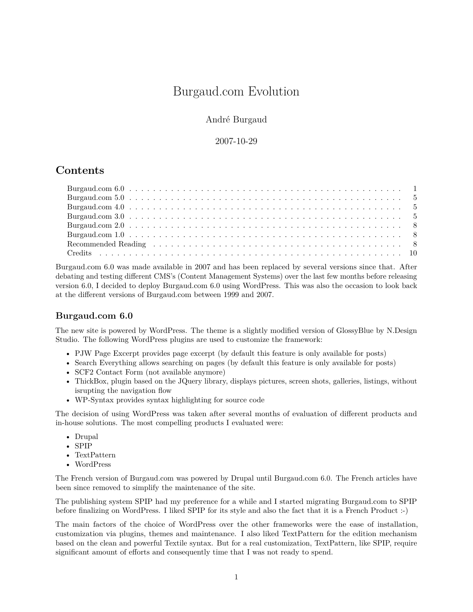# Burgaud.com Evolution

#### André Burgaud

#### 2007-10-29

## **Contents**

Burgaud.com 6.0 was made available in 2007 and has been replaced by several versions since that. After debating and testing different CMS's (Content Management Systems) over the last few months before releasing version 6.0, I decided to deploy Burgaud.com 6.0 using WordPress. This was also the occasion to look back at the different versions of Burgaud.com between 1999 and 2007.

#### <span id="page-0-0"></span>**Burgaud.com 6.0**

The new site is powered by [WordPress.](https://wordpress.org/) The theme is a slightly modified version of [GlossyBlue](http://ndesign-studio.com/wp-themes/glossyblue) by [N.Design](http://ndesign-studio.com/) [Studio.](http://ndesign-studio.com/) The following WordPress plugins are used to customize the framework:

- [PJW Page Excerpt](https://blog.ftwr.co.uk/wordpress/page-excerpt/) provides page excerpt (by default this feature is only available for posts)
- [Search Everything](https://wordpress.org/plugins/search-everything/) allows searching on pages (by default this feature is only available for posts)
- SCF2 Contact Form (not available anymore)
- [ThickBox,](http://codylindley.com/thickbox/) plugin based on the [JQuery](https://jquery.com/) library, displays pictures, screen shots, galleries, listings, without isrupting the navigation flow
- [WP-Syntax](https://wordpress.org/plugins/wp-syntax/) provides syntax highlighting for source code

The decision of using WordPress was taken after several months of evaluation of different products and in-house solutions. The most compelling products I evaluated were:

- [Drupal](https://www.drupal.org/)
- [SPIP](https://www.spip.net/)
- [TextPattern](https://textpattern.com/)
- [WordPress](https://wordpress.org/)

The French version of Burgaud.com was powered by Drupal until Burgaud.com 6.0. The French articles have been since removed to simplify the maintenance of the site.

The publishing system [SPIP](https://www.spip.net/) had my preference for a while and I started migrating Burgaud.com to SPIP before finalizing on WordPress. I liked SPIP for its style and also the fact that it is a French Product :-)

The main factors of the choice of WordPress over the other frameworks were the ease of installation, customization via plugins, themes and maintenance. I also liked TextPattern for the edition mechanism based on the clean and powerful [Textile](https://www.txstyle.org/) syntax. But for a real customization, TextPattern, like SPIP, require significant amount of efforts and consequently time that I was not ready to spend.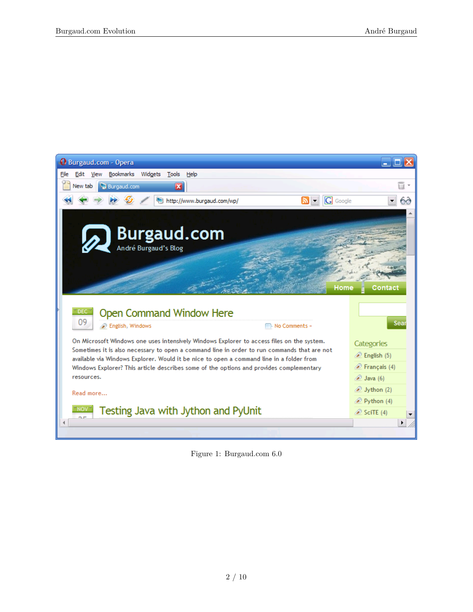

Figure 1: Burgaud.com 6.0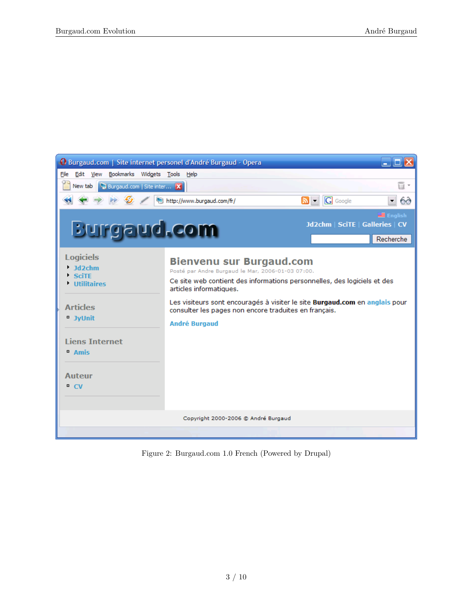

Figure 2: Burgaud.com 1.0 French (Powered by Drupal)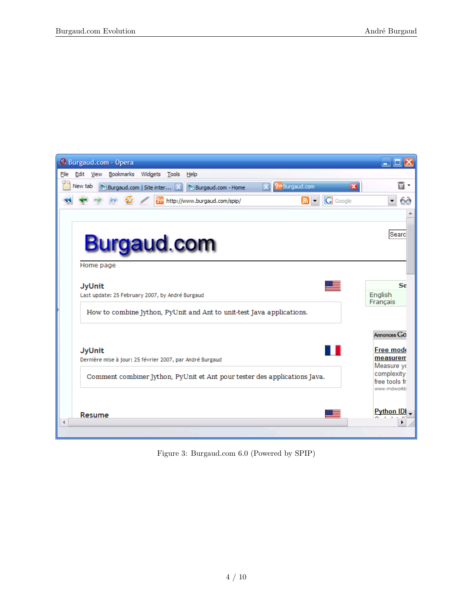| <b>O</b> Burgaud.com - Opera                                                                                         |                             |
|----------------------------------------------------------------------------------------------------------------------|-----------------------------|
| Edit View Bookmarks Widgets<br>Tools Help<br><b>File</b>                                                             |                             |
| $\mathbf{z}$<br><b>Pre</b> Burgaud.com<br>New tab<br>Burgaud.com   Site inter X   Burgaud.com - Home<br>$\mathbf{x}$ | ū.                          |
| G Google<br>৯ -<br>2- http://www.burgaud.com/spip/                                                                   | 60                          |
|                                                                                                                      |                             |
|                                                                                                                      | Searc                       |
| <b>Burgaud.com</b>                                                                                                   |                             |
| Home page                                                                                                            |                             |
| <b>JyUnit</b>                                                                                                        | Se                          |
| Last update: 25 February 2007, by André Burgaud                                                                      | English<br>Français         |
| How to combine Jython, PyUnit and Ant to unit-test Java applications.                                                |                             |
|                                                                                                                      | Annonces GO                 |
| <b>JyUnit</b>                                                                                                        | Free mode                   |
| Dernière mise à jour: 25 février 2007, par André Burgaud                                                             | measurem<br>Measure yo      |
| Comment combiner Jython, PyUnit et Ant pour tester des applications Java.                                            | complexity<br>free tools fr |
|                                                                                                                      | www.mdworkb                 |
| Resume                                                                                                               | <b>Python IDI</b>           |
|                                                                                                                      |                             |

Figure 3: Burgaud.com 6.0 (Powered by SPIP)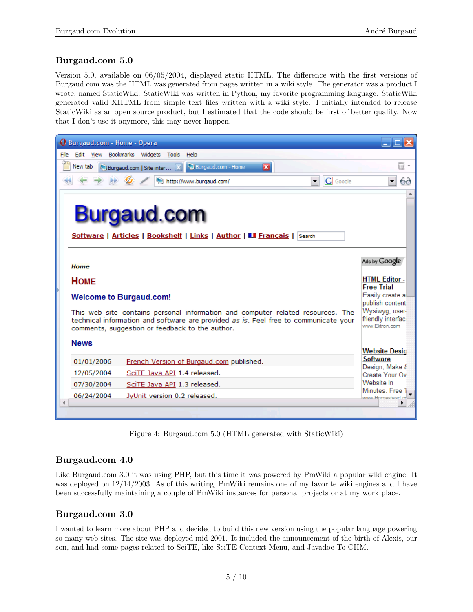### <span id="page-4-0"></span>**Burgaud.com 5.0**

Version 5.0, available on 06/05/2004, displayed static HTML. The difference with the first versions of Burgaud.com was the HTML was generated from pages written in a wiki style. The generator was a product I wrote, named StaticWiki. StaticWiki was written in [Python,](https://www.python.org/) my favorite programming language. StaticWiki generated valid XHTML from simple text files written with a wiki style. I initially intended to release StaticWiki as an open source product, but I estimated that the code should be first of better quality. Now that I don't use it anymore, this may never happen.



Figure 4: Burgaud.com 5.0 (HTML generated with StaticWiki)

### <span id="page-4-1"></span>**Burgaud.com 4.0**

Like Burgaud.com 3.0 it was using PHP, but this time it was powered by [PmWiki](https://www.pmwiki.org/) a popular wiki engine. It was deployed on  $12/14/2003$ . As of this writing, PmWiki remains one of my favorite wiki engines and I have been successfully maintaining a couple of PmWiki instances for personal projects or at my work place.

### <span id="page-4-2"></span>**Burgaud.com 3.0**

I wanted to learn more about [PHP](https://www.php.net/) and decided to build this new version using the popular language powering so many web sites. The site was deployed mid-2001. It included the announcement of the birth of Alexis, our son, and had some pages related to [SciTE,](https://www.scintilla.org/SciTE.html) like [SciTE Context Menu,](/scite-context-menu.md) and [Javadoc To CHM.](/jd2chm.md)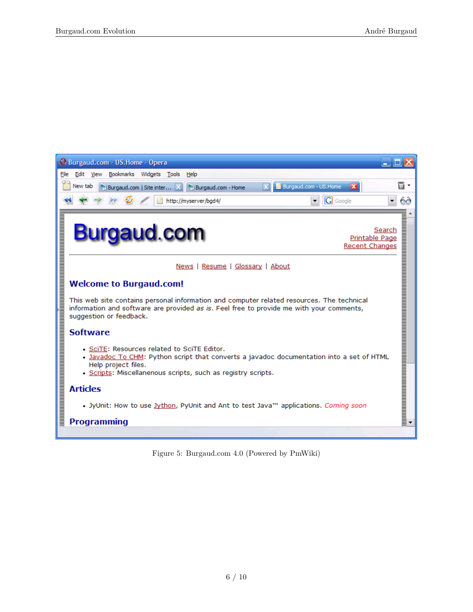

Figure 5: Burgaud.com 4.0 (Powered by PmWiki)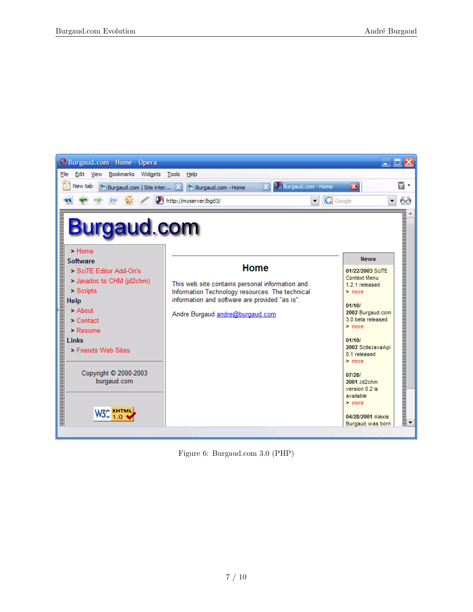

Figure 6: Burgaud.com 3.0 (PHP)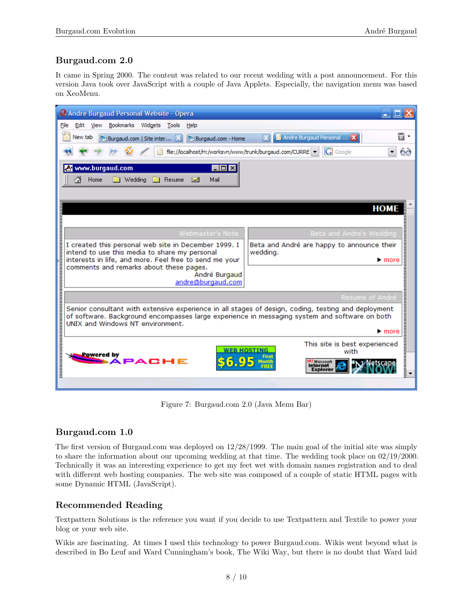## <span id="page-7-0"></span>**Burgaud.com 2.0**

It came in Spring 2000. The content was related to our recent wedding with a post announcement. For this version Java took over JavaScript with a couple of Java Applets. Especially, the navigation menu was based on [XeoMenu.](https://tecfa.unige.ch/guides/java/examples/menu/)

| <b>Q</b> Andre Burgaud Personal Website - Opera                                                                                                                                                                                                                        |
|------------------------------------------------------------------------------------------------------------------------------------------------------------------------------------------------------------------------------------------------------------------------|
| File<br>Bookmarks Widgets<br>Edit<br>View<br>Tools<br>Help                                                                                                                                                                                                             |
| ū<br>Andre Burgaud Personal  X<br>New tab<br>Burgaud.com   Site inter [X]<br>Burgaud.com - Home                                                                                                                                                                        |
| IGI<br>file://localhost/H:/worksvn/www/trunk/burgaud.com/CURRE   -<br>60<br>Google<br>▼                                                                                                                                                                                |
| www.burgaud.com<br>$\blacksquare$ $\blacksquare$ $\times$<br>A<br><b>Medding</b><br>Home<br>Resume<br>Mail<br>×                                                                                                                                                        |
| <b>HOME</b>                                                                                                                                                                                                                                                            |
| Beta and Andre's Wedding<br>Webmaster's Note                                                                                                                                                                                                                           |
| I created this personal web site in December 1999. I<br>Beta and André are happy to announce their<br>intend to use this media to share my personal<br>wedding.<br>interests in life, and more. Feel free to send me your<br>$\blacktriangleright$ more                |
| comments and remarks about these pages.<br>André Burgaud<br>andre@burgaud.com                                                                                                                                                                                          |
| Resume of André                                                                                                                                                                                                                                                        |
| Senior consultant with extensive experience in all stages of design, coding, testing and deployment<br>of software. Background encompasses large experience in messaging system and software on both<br>UNIX and Windows NT environment.<br>$\blacktriangleright$ more |
| , a martin a martin and a martin a martin and a martin and a martin and a martin and a martin and a martin and<br>This site is best experienced<br><b>WEB HOSTING</b><br>with<br>Powered by<br><b>ET Microsoft</b><br><b>Internet</b><br><b>Explorer</b>               |
|                                                                                                                                                                                                                                                                        |

Figure 7: Burgaud.com 2.0 (Java Menu Bar)

### <span id="page-7-1"></span>**Burgaud.com 1.0**

The first version of Burgaud.com was deployed on 12/28/1999. The main goal of the initial site was simply to share the information about our upcoming wedding at that time. The wedding took place on 02/19/2000. Technically it was an interesting experience to get my feet wet with domain names registration and to deal with different web hosting companies. The web site was composed of a couple of static HTML pages with some Dynamic HTML (JavaScript).

### <span id="page-7-2"></span>**Recommended Reading**

[Textpattern Solutions](https://www.amazon.com/Textpattern-Solutions-PHP-Based-Content-Management/dp/1590598326) is the reference you want if you decide to use Textpattern and Textile to power your blog or your web site.

Wikis are fascinating. At times I used this technology to power Burgaud.com. Wikis went beyond what is described in Bo Leuf and Ward Cunningham's book, [The Wiki Way,](https://www.amazon.com/The-Wiki-Way-Quick-Collaboration/dp/020171499X) but there is no doubt that Ward laid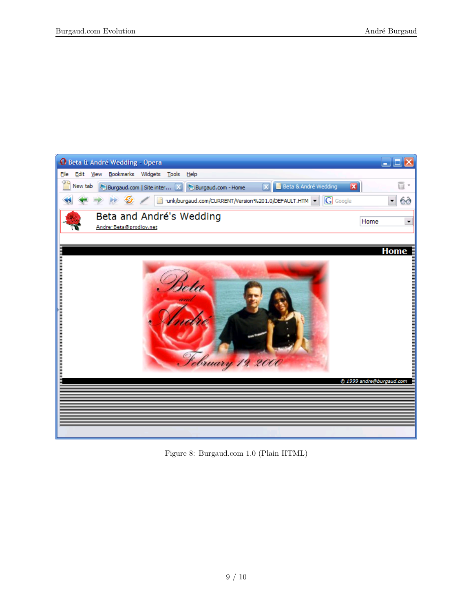

Figure 8: Burgaud.com 1.0 (Plain HTML)